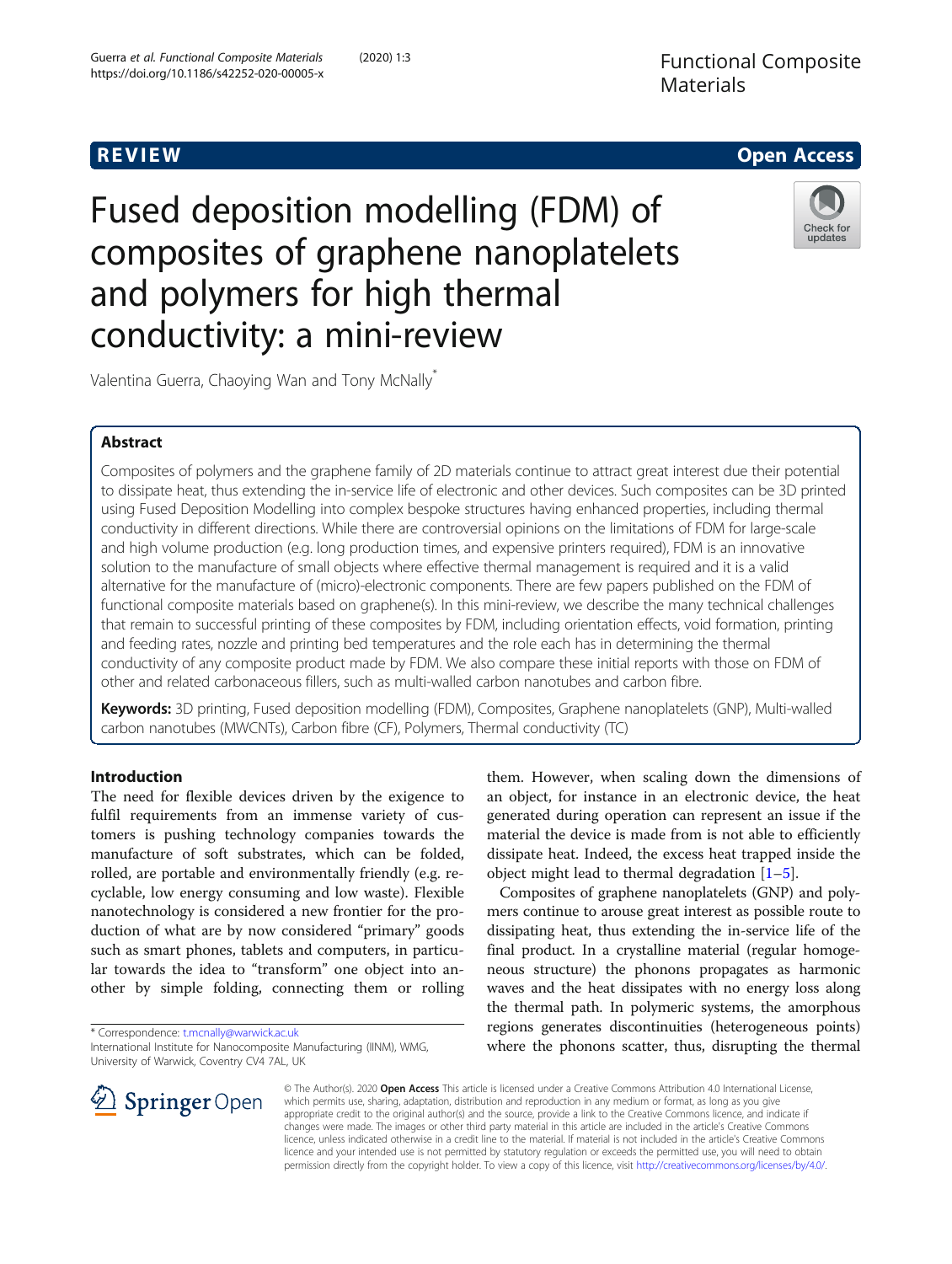

Fused deposition modelling (FDM) of composites of graphene nanoplatelets and polymers for high thermal conductivity: a mini-review



Valentina Guerra, Chaoying Wan and Tony McNally\*

# Abstract

Composites of polymers and the graphene family of 2D materials continue to attract great interest due their potential to dissipate heat, thus extending the in-service life of electronic and other devices. Such composites can be 3D printed using Fused Deposition Modelling into complex bespoke structures having enhanced properties, including thermal conductivity in different directions. While there are controversial opinions on the limitations of FDM for large-scale and high volume production (e.g. long production times, and expensive printers required), FDM is an innovative solution to the manufacture of small objects where effective thermal management is required and it is a valid alternative for the manufacture of (micro)-electronic components. There are few papers published on the FDM of functional composite materials based on graphene(s). In this mini-review, we describe the many technical challenges that remain to successful printing of these composites by FDM, including orientation effects, void formation, printing and feeding rates, nozzle and printing bed temperatures and the role each has in determining the thermal conductivity of any composite product made by FDM. We also compare these initial reports with those on FDM of other and related carbonaceous fillers, such as multi-walled carbon nanotubes and carbon fibre.

Keywords: 3D printing, Fused deposition modelling (FDM), Composites, Graphene nanoplatelets (GNP), Multi-walled carbon nanotubes (MWCNTs), Carbon fibre (CF), Polymers, Thermal conductivity (TC)

# Introduction

The need for flexible devices driven by the exigence to fulfil requirements from an immense variety of customers is pushing technology companies towards the manufacture of soft substrates, which can be folded, rolled, are portable and environmentally friendly (e.g. recyclable, low energy consuming and low waste). Flexible nanotechnology is considered a new frontier for the production of what are by now considered "primary" goods such as smart phones, tablets and computers, in particular towards the idea to "transform" one object into another by simple folding, connecting them or rolling

\* Correspondence: [t.mcnally@warwick.ac.uk](mailto:t.mcnally@warwick.ac.uk)

International Institute for Nanocomposite Manufacturing (IINM), WMG, University of Warwick, Coventry CV4 7AL, UK

them. However, when scaling down the dimensions of an object, for instance in an electronic device, the heat generated during operation can represent an issue if the material the device is made from is not able to efficiently dissipate heat. Indeed, the excess heat trapped inside the object might lead to thermal degradation [[1](#page-10-0)–[5\]](#page-10-0).

Composites of graphene nanoplatelets (GNP) and polymers continue to arouse great interest as possible route to dissipating heat, thus extending the in-service life of the final product. In a crystalline material (regular homogeneous structure) the phonons propagates as harmonic waves and the heat dissipates with no energy loss along the thermal path. In polymeric systems, the amorphous regions generates discontinuities (heterogeneous points) where the phonons scatter, thus, disrupting the thermal



© The Author(s). 2020 Open Access This article is licensed under a Creative Commons Attribution 4.0 International License, which permits use, sharing, adaptation, distribution and reproduction in any medium or format, as long as you give appropriate credit to the original author(s) and the source, provide a link to the Creative Commons licence, and indicate if changes were made. The images or other third party material in this article are included in the article's Creative Commons licence, unless indicated otherwise in a credit line to the material. If material is not included in the article's Creative Commons licence and your intended use is not permitted by statutory regulation or exceeds the permitted use, you will need to obtain permission directly from the copyright holder. To view a copy of this licence, visit <http://creativecommons.org/licenses/by/4.0/>.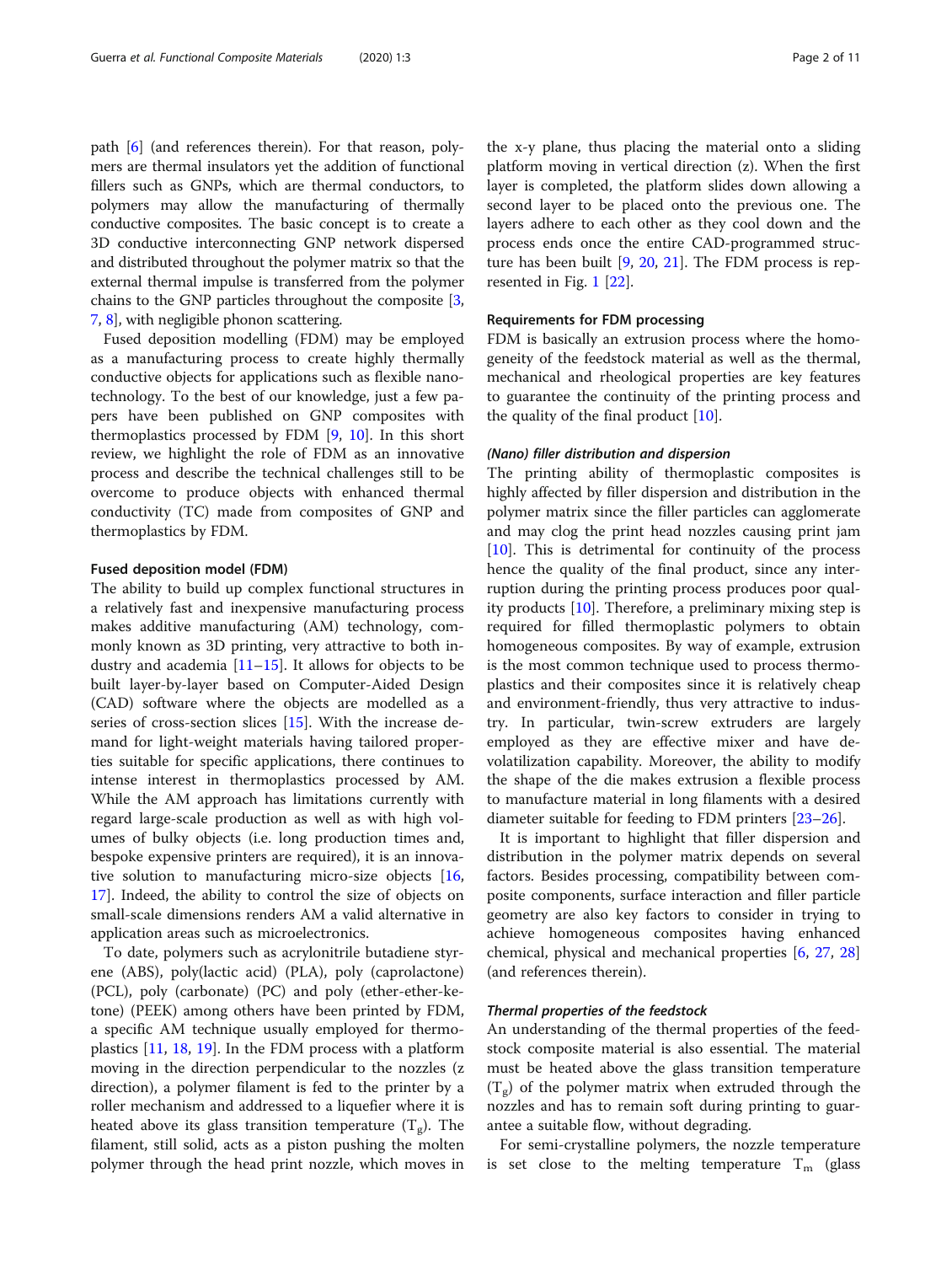path [\[6\]](#page-10-0) (and references therein). For that reason, polymers are thermal insulators yet the addition of functional fillers such as GNPs, which are thermal conductors, to polymers may allow the manufacturing of thermally conductive composites. The basic concept is to create a 3D conductive interconnecting GNP network dispersed and distributed throughout the polymer matrix so that the external thermal impulse is transferred from the polymer chains to the GNP particles throughout the composite [[3](#page-10-0), [7,](#page-10-0) [8](#page-10-0)], with negligible phonon scattering.

Fused deposition modelling (FDM) may be employed as a manufacturing process to create highly thermally conductive objects for applications such as flexible nanotechnology. To the best of our knowledge, just a few papers have been published on GNP composites with thermoplastics processed by FDM [\[9](#page-10-0), [10](#page-10-0)]. In this short review, we highlight the role of FDM as an innovative process and describe the technical challenges still to be overcome to produce objects with enhanced thermal conductivity (TC) made from composites of GNP and thermoplastics by FDM.

## Fused deposition model (FDM)

The ability to build up complex functional structures in a relatively fast and inexpensive manufacturing process makes additive manufacturing (AM) technology, commonly known as 3D printing, very attractive to both industry and academia  $[11–15]$  $[11–15]$  $[11–15]$  $[11–15]$ . It allows for objects to be built layer-by-layer based on Computer-Aided Design (CAD) software where the objects are modelled as a series of cross-section slices [\[15](#page-10-0)]. With the increase demand for light-weight materials having tailored properties suitable for specific applications, there continues to intense interest in thermoplastics processed by AM. While the AM approach has limitations currently with regard large-scale production as well as with high volumes of bulky objects (i.e. long production times and, bespoke expensive printers are required), it is an innovative solution to manufacturing micro-size objects [[16](#page-10-0), [17\]](#page-10-0). Indeed, the ability to control the size of objects on small-scale dimensions renders AM a valid alternative in application areas such as microelectronics.

To date, polymers such as acrylonitrile butadiene styrene (ABS), poly(lactic acid) (PLA), poly (caprolactone) (PCL), poly (carbonate) (PC) and poly (ether-ether-ketone) (PEEK) among others have been printed by FDM, a specific AM technique usually employed for thermoplastics [[11,](#page-10-0) [18,](#page-10-0) [19\]](#page-10-0). In the FDM process with a platform moving in the direction perpendicular to the nozzles (z direction), a polymer filament is fed to the printer by a roller mechanism and addressed to a liquefier where it is heated above its glass transition temperature  $(T_g)$ . The filament, still solid, acts as a piston pushing the molten polymer through the head print nozzle, which moves in the x-y plane, thus placing the material onto a sliding platform moving in vertical direction (z). When the first layer is completed, the platform slides down allowing a second layer to be placed onto the previous one. The layers adhere to each other as they cool down and the process ends once the entire CAD-programmed structure has been built [[9](#page-10-0), [20,](#page-10-0) [21](#page-10-0)]. The FDM process is represented in Fig. [1](#page-2-0) [[22](#page-10-0)].

# Requirements for FDM processing

FDM is basically an extrusion process where the homogeneity of the feedstock material as well as the thermal, mechanical and rheological properties are key features to guarantee the continuity of the printing process and the quality of the final product  $[10]$  $[10]$ .

# (Nano) filler distribution and dispersion

The printing ability of thermoplastic composites is highly affected by filler dispersion and distribution in the polymer matrix since the filler particles can agglomerate and may clog the print head nozzles causing print jam  $[10]$  $[10]$ . This is detrimental for continuity of the process hence the quality of the final product, since any interruption during the printing process produces poor quality products [[10\]](#page-10-0). Therefore, a preliminary mixing step is required for filled thermoplastic polymers to obtain homogeneous composites. By way of example, extrusion is the most common technique used to process thermoplastics and their composites since it is relatively cheap and environment-friendly, thus very attractive to industry. In particular, twin-screw extruders are largely employed as they are effective mixer and have devolatilization capability. Moreover, the ability to modify the shape of the die makes extrusion a flexible process to manufacture material in long filaments with a desired diameter suitable for feeding to FDM printers [[23](#page-10-0)–[26](#page-10-0)].

It is important to highlight that filler dispersion and distribution in the polymer matrix depends on several factors. Besides processing, compatibility between composite components, surface interaction and filler particle geometry are also key factors to consider in trying to achieve homogeneous composites having enhanced chemical, physical and mechanical properties [\[6](#page-10-0), [27,](#page-10-0) [28](#page-10-0)] (and references therein).

# Thermal properties of the feedstock

An understanding of the thermal properties of the feedstock composite material is also essential. The material must be heated above the glass transition temperature  $(T_g)$  of the polymer matrix when extruded through the nozzles and has to remain soft during printing to guarantee a suitable flow, without degrading.

For semi-crystalline polymers, the nozzle temperature is set close to the melting temperature  $T_m$  (glass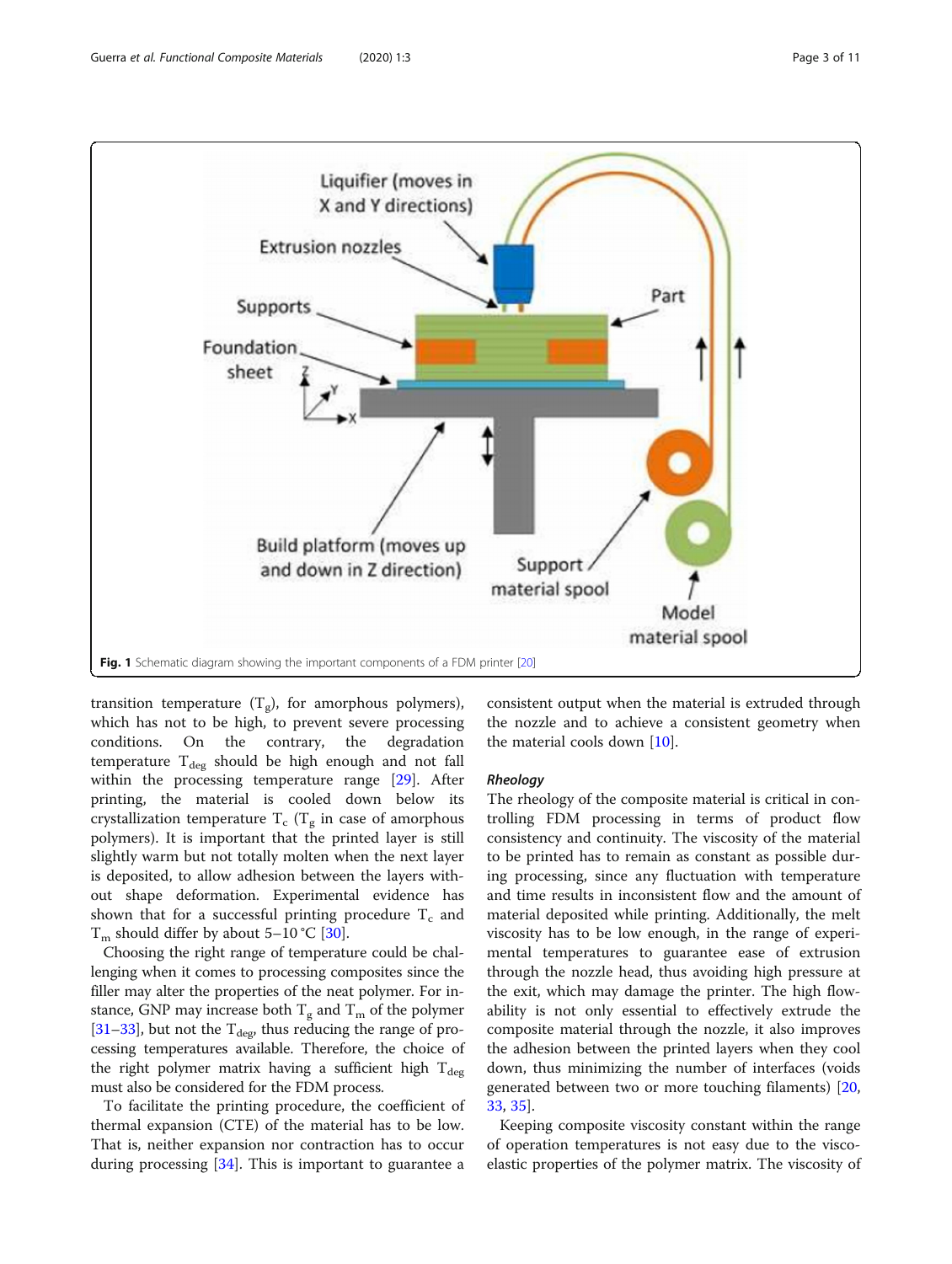<span id="page-2-0"></span>

transition temperature  $(T_g)$ , for amorphous polymers), which has not to be high, to prevent severe processing conditions. On the contrary, the degradation temperature  $T_{\text{deg}}$  should be high enough and not fall within the processing temperature range [[29](#page-10-0)]. After printing, the material is cooled down below its crystallization temperature  $T_c$  ( $T_g$  in case of amorphous polymers). It is important that the printed layer is still slightly warm but not totally molten when the next layer is deposited, to allow adhesion between the layers without shape deformation. Experimental evidence has shown that for a successful printing procedure  $T_c$  and  $T_m$  should differ by about 5–10 °C [[30\]](#page-10-0).

Choosing the right range of temperature could be challenging when it comes to processing composites since the filler may alter the properties of the neat polymer. For instance, GNP may increase both  $T_g$  and  $T_m$  of the polymer [[31](#page-10-0)–[33\]](#page-10-0), but not the  $T_{\text{deg}}$ , thus reducing the range of processing temperatures available. Therefore, the choice of the right polymer matrix having a sufficient high  $T_{\text{deg}}$ must also be considered for the FDM process.

To facilitate the printing procedure, the coefficient of thermal expansion (CTE) of the material has to be low. That is, neither expansion nor contraction has to occur during processing [[34\]](#page-10-0). This is important to guarantee a consistent output when the material is extruded through the nozzle and to achieve a consistent geometry when the material cools down [\[10](#page-10-0)].

# **Rheology**

The rheology of the composite material is critical in controlling FDM processing in terms of product flow consistency and continuity. The viscosity of the material to be printed has to remain as constant as possible during processing, since any fluctuation with temperature and time results in inconsistent flow and the amount of material deposited while printing. Additionally, the melt viscosity has to be low enough, in the range of experimental temperatures to guarantee ease of extrusion through the nozzle head, thus avoiding high pressure at the exit, which may damage the printer. The high flowability is not only essential to effectively extrude the composite material through the nozzle, it also improves the adhesion between the printed layers when they cool down, thus minimizing the number of interfaces (voids generated between two or more touching filaments) [[20](#page-10-0), [33,](#page-10-0) [35](#page-10-0)].

Keeping composite viscosity constant within the range of operation temperatures is not easy due to the viscoelastic properties of the polymer matrix. The viscosity of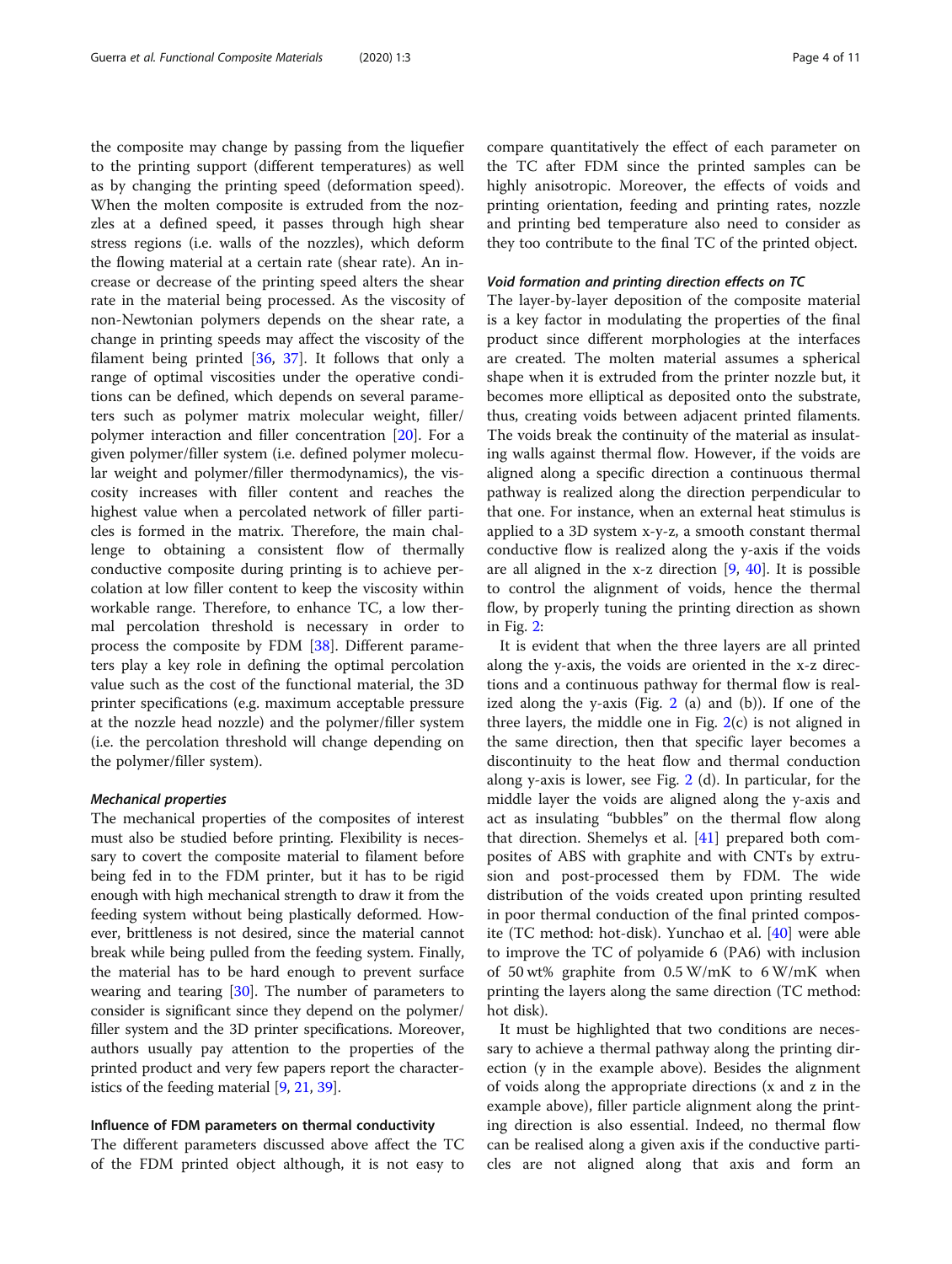the composite may change by passing from the liquefier to the printing support (different temperatures) as well as by changing the printing speed (deformation speed). When the molten composite is extruded from the nozzles at a defined speed, it passes through high shear stress regions (i.e. walls of the nozzles), which deform the flowing material at a certain rate (shear rate). An increase or decrease of the printing speed alters the shear rate in the material being processed. As the viscosity of non-Newtonian polymers depends on the shear rate, a change in printing speeds may affect the viscosity of the filament being printed [\[36](#page-10-0), [37](#page-10-0)]. It follows that only a range of optimal viscosities under the operative conditions can be defined, which depends on several parameters such as polymer matrix molecular weight, filler/ polymer interaction and filler concentration [[20\]](#page-10-0). For a given polymer/filler system (i.e. defined polymer molecular weight and polymer/filler thermodynamics), the viscosity increases with filler content and reaches the highest value when a percolated network of filler particles is formed in the matrix. Therefore, the main challenge to obtaining a consistent flow of thermally conductive composite during printing is to achieve percolation at low filler content to keep the viscosity within workable range. Therefore, to enhance TC, a low thermal percolation threshold is necessary in order to process the composite by FDM [[38\]](#page-10-0). Different parameters play a key role in defining the optimal percolation value such as the cost of the functional material, the 3D printer specifications (e.g. maximum acceptable pressure at the nozzle head nozzle) and the polymer/filler system (i.e. the percolation threshold will change depending on the polymer/filler system).

## Mechanical properties

The mechanical properties of the composites of interest must also be studied before printing. Flexibility is necessary to covert the composite material to filament before being fed in to the FDM printer, but it has to be rigid enough with high mechanical strength to draw it from the feeding system without being plastically deformed. However, brittleness is not desired, since the material cannot break while being pulled from the feeding system. Finally, the material has to be hard enough to prevent surface wearing and tearing  $[30]$  $[30]$ . The number of parameters to consider is significant since they depend on the polymer/ filler system and the 3D printer specifications. Moreover, authors usually pay attention to the properties of the printed product and very few papers report the characteristics of the feeding material [[9](#page-10-0), [21,](#page-10-0) [39](#page-10-0)].

## Influence of FDM parameters on thermal conductivity

The different parameters discussed above affect the TC of the FDM printed object although, it is not easy to compare quantitatively the effect of each parameter on the TC after FDM since the printed samples can be highly anisotropic. Moreover, the effects of voids and printing orientation, feeding and printing rates, nozzle and printing bed temperature also need to consider as they too contribute to the final TC of the printed object.

# Void formation and printing direction effects on TC

The layer-by-layer deposition of the composite material is a key factor in modulating the properties of the final product since different morphologies at the interfaces are created. The molten material assumes a spherical shape when it is extruded from the printer nozzle but, it becomes more elliptical as deposited onto the substrate, thus, creating voids between adjacent printed filaments. The voids break the continuity of the material as insulating walls against thermal flow. However, if the voids are aligned along a specific direction a continuous thermal pathway is realized along the direction perpendicular to that one. For instance, when an external heat stimulus is applied to a 3D system x-y-z, a smooth constant thermal conductive flow is realized along the y-axis if the voids are all aligned in the x-z direction [[9,](#page-10-0) [40\]](#page-10-0). It is possible to control the alignment of voids, hence the thermal flow, by properly tuning the printing direction as shown in Fig. [2](#page-4-0):

It is evident that when the three layers are all printed along the y-axis, the voids are oriented in the x-z directions and a continuous pathway for thermal flow is realized along the y-axis (Fig.  $2$  (a) and (b)). If one of the three layers, the middle one in Fig.  $2(c)$  $2(c)$  is not aligned in the same direction, then that specific layer becomes a discontinuity to the heat flow and thermal conduction along y-axis is lower, see Fig. [2](#page-4-0) (d). In particular, for the middle layer the voids are aligned along the y-axis and act as insulating "bubbles" on the thermal flow along that direction. Shemelys et al. [\[41](#page-10-0)] prepared both composites of ABS with graphite and with CNTs by extrusion and post-processed them by FDM. The wide distribution of the voids created upon printing resulted in poor thermal conduction of the final printed composite (TC method: hot-disk). Yunchao et al. [\[40\]](#page-10-0) were able to improve the TC of polyamide 6 (PA6) with inclusion of 50 wt% graphite from 0.5 W/mK to 6 W/mK when printing the layers along the same direction (TC method: hot disk).

It must be highlighted that two conditions are necessary to achieve a thermal pathway along the printing direction (y in the example above). Besides the alignment of voids along the appropriate directions (x and z in the example above), filler particle alignment along the printing direction is also essential. Indeed, no thermal flow can be realised along a given axis if the conductive particles are not aligned along that axis and form an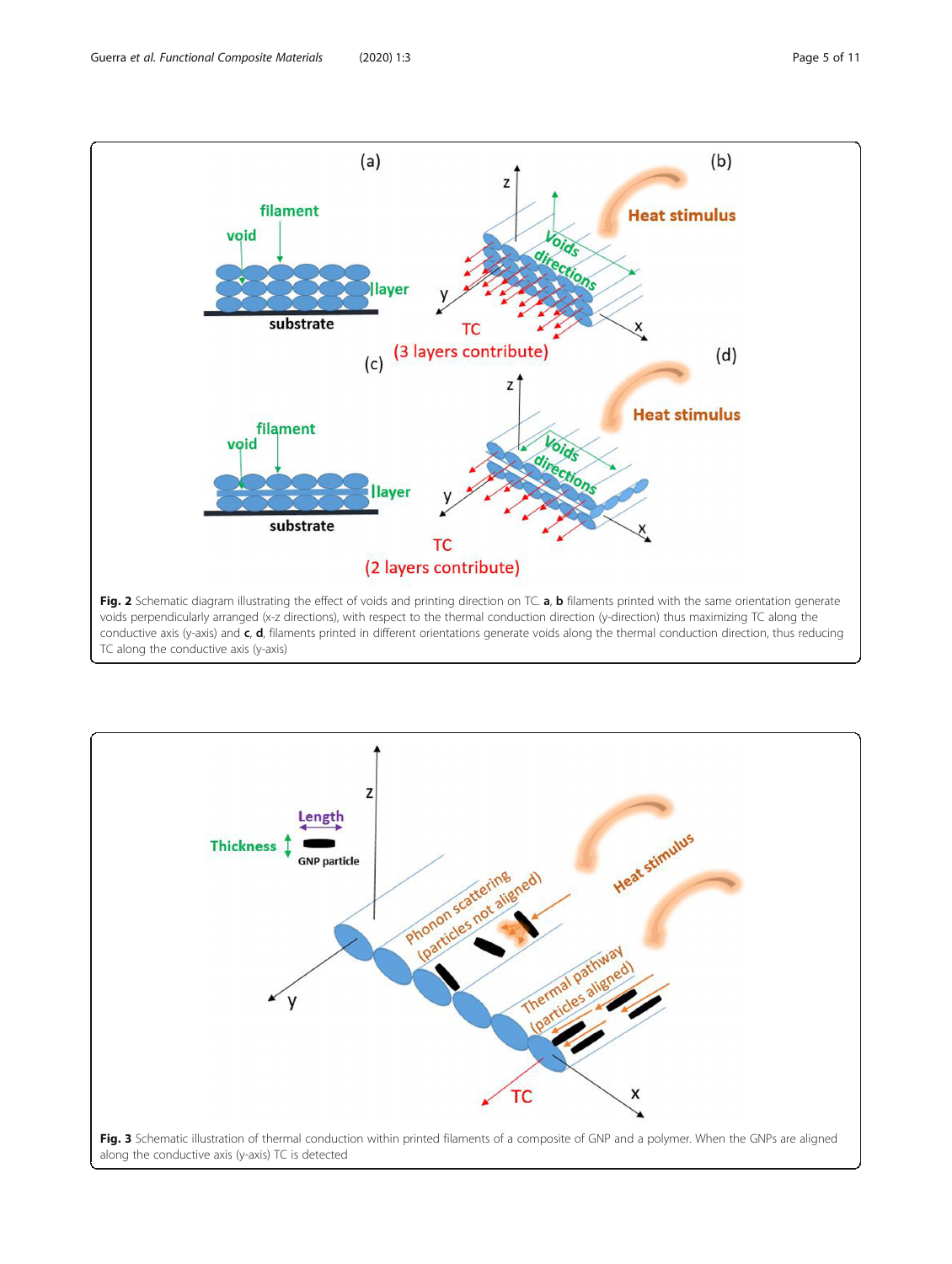<span id="page-4-0"></span>

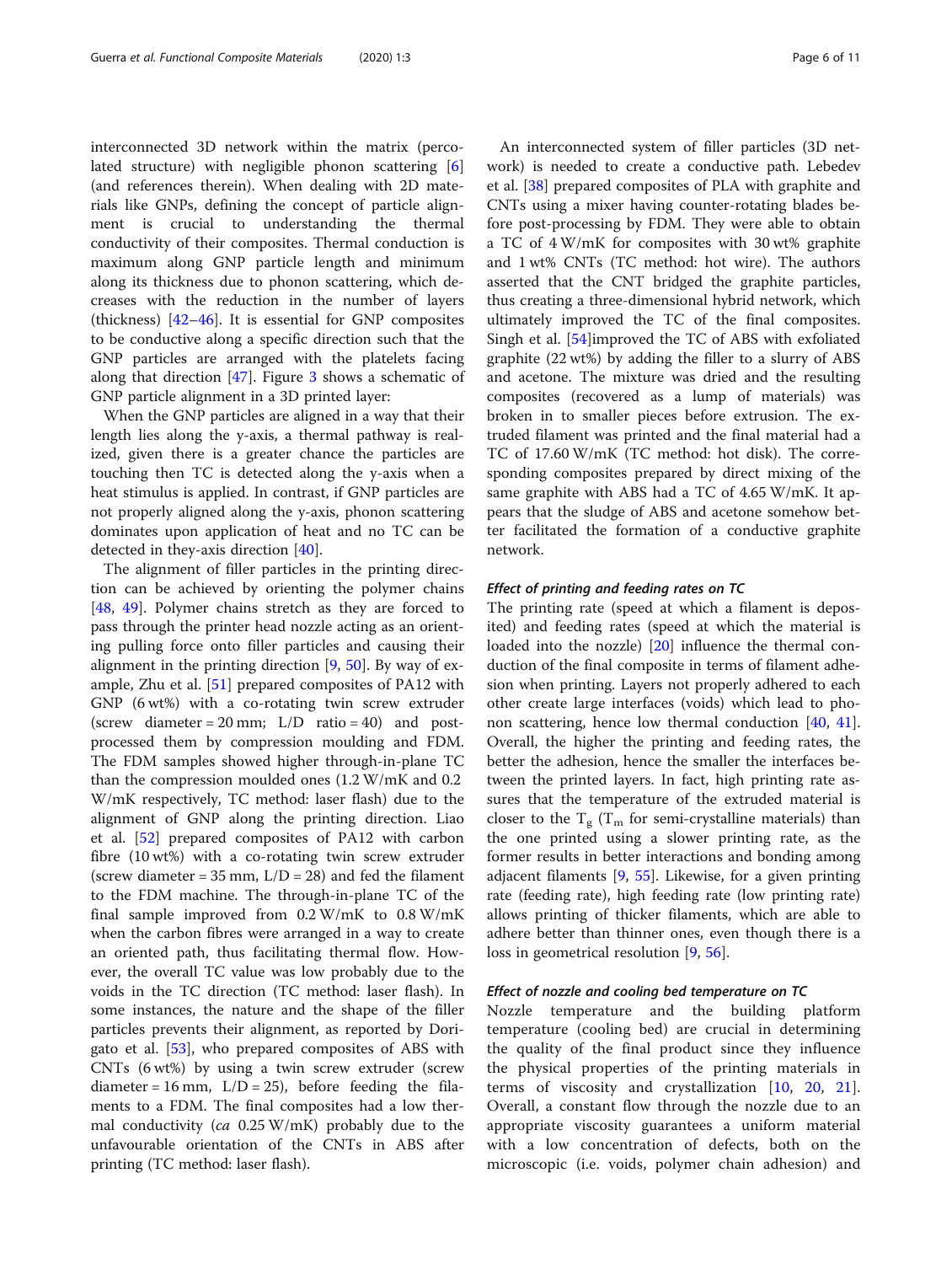interconnected 3D network within the matrix (perco-lated structure) with negligible phonon scattering [\[6](#page-10-0)] (and references therein). When dealing with 2D materials like GNPs, defining the concept of particle alignment is crucial to understanding the thermal conductivity of their composites. Thermal conduction is maximum along GNP particle length and minimum along its thickness due to phonon scattering, which decreases with the reduction in the number of layers (thickness) [\[42](#page-10-0)–[46\]](#page-10-0). It is essential for GNP composites to be conductive along a specific direction such that the GNP particles are arranged with the platelets facing along that direction  $[47]$  $[47]$ . Figure [3](#page-4-0) shows a schematic of GNP particle alignment in a 3D printed layer:

When the GNP particles are aligned in a way that their length lies along the y-axis, a thermal pathway is realized, given there is a greater chance the particles are touching then TC is detected along the y-axis when a heat stimulus is applied. In contrast, if GNP particles are not properly aligned along the y-axis, phonon scattering dominates upon application of heat and no TC can be detected in they-axis direction [[40\]](#page-10-0).

The alignment of filler particles in the printing direction can be achieved by orienting the polymer chains [[48,](#page-10-0) [49\]](#page-10-0). Polymer chains stretch as they are forced to pass through the printer head nozzle acting as an orienting pulling force onto filler particles and causing their alignment in the printing direction [\[9](#page-10-0), [50](#page-10-0)]. By way of example, Zhu et al. [\[51](#page-10-0)] prepared composites of PA12 with GNP (6 wt%) with a co-rotating twin screw extruder (screw diameter = 20 mm;  $L/D$  ratio = 40) and postprocessed them by compression moulding and FDM. The FDM samples showed higher through-in-plane TC than the compression moulded ones (1.2 W/mK and 0.2 W/mK respectively, TC method: laser flash) due to the alignment of GNP along the printing direction. Liao et al. [\[52](#page-10-0)] prepared composites of PA12 with carbon fibre (10 wt%) with a co-rotating twin screw extruder (screw diameter =  $35$  mm,  $L/D = 28$ ) and fed the filament to the FDM machine. The through-in-plane TC of the final sample improved from 0.2 W/mK to 0.8 W/mK when the carbon fibres were arranged in a way to create an oriented path, thus facilitating thermal flow. However, the overall TC value was low probably due to the voids in the TC direction (TC method: laser flash). In some instances, the nature and the shape of the filler particles prevents their alignment, as reported by Dorigato et al. [[53\]](#page-10-0), who prepared composites of ABS with CNTs (6 wt%) by using a twin screw extruder (screw diameter =  $16$  mm,  $L/D = 25$ ), before feeding the filaments to a FDM. The final composites had a low thermal conductivity ( $ca$  0.25 W/mK) probably due to the unfavourable orientation of the CNTs in ABS after printing (TC method: laser flash).

An interconnected system of filler particles (3D network) is needed to create a conductive path. Lebedev et al. [[38](#page-10-0)] prepared composites of PLA with graphite and CNTs using a mixer having counter-rotating blades before post-processing by FDM. They were able to obtain a TC of 4 W/mK for composites with 30 wt% graphite and 1 wt% CNTs (TC method: hot wire). The authors asserted that the CNT bridged the graphite particles, thus creating a three-dimensional hybrid network, which ultimately improved the TC of the final composites. Singh et al. [[54](#page-10-0)]improved the TC of ABS with exfoliated graphite (22 wt%) by adding the filler to a slurry of ABS and acetone. The mixture was dried and the resulting composites (recovered as a lump of materials) was broken in to smaller pieces before extrusion. The extruded filament was printed and the final material had a TC of 17.60 W/mK (TC method: hot disk). The corresponding composites prepared by direct mixing of the same graphite with ABS had a TC of 4.65 W/mK. It appears that the sludge of ABS and acetone somehow better facilitated the formation of a conductive graphite network.

# Effect of printing and feeding rates on TC

The printing rate (speed at which a filament is deposited) and feeding rates (speed at which the material is loaded into the nozzle) [\[20\]](#page-10-0) influence the thermal conduction of the final composite in terms of filament adhesion when printing. Layers not properly adhered to each other create large interfaces (voids) which lead to phonon scattering, hence low thermal conduction [\[40](#page-10-0), [41](#page-10-0)]. Overall, the higher the printing and feeding rates, the better the adhesion, hence the smaller the interfaces between the printed layers. In fact, high printing rate assures that the temperature of the extruded material is closer to the  $T_g$  ( $T_m$  for semi-crystalline materials) than the one printed using a slower printing rate, as the former results in better interactions and bonding among adjacent filaments [[9](#page-10-0), [55](#page-10-0)]. Likewise, for a given printing rate (feeding rate), high feeding rate (low printing rate) allows printing of thicker filaments, which are able to adhere better than thinner ones, even though there is a loss in geometrical resolution [[9](#page-10-0), [56](#page-10-0)].

## Effect of nozzle and cooling bed temperature on TC

Nozzle temperature and the building platform temperature (cooling bed) are crucial in determining the quality of the final product since they influence the physical properties of the printing materials in terms of viscosity and crystallization [\[10](#page-10-0), [20,](#page-10-0) [21](#page-10-0)]. Overall, a constant flow through the nozzle due to an appropriate viscosity guarantees a uniform material with a low concentration of defects, both on the microscopic (i.e. voids, polymer chain adhesion) and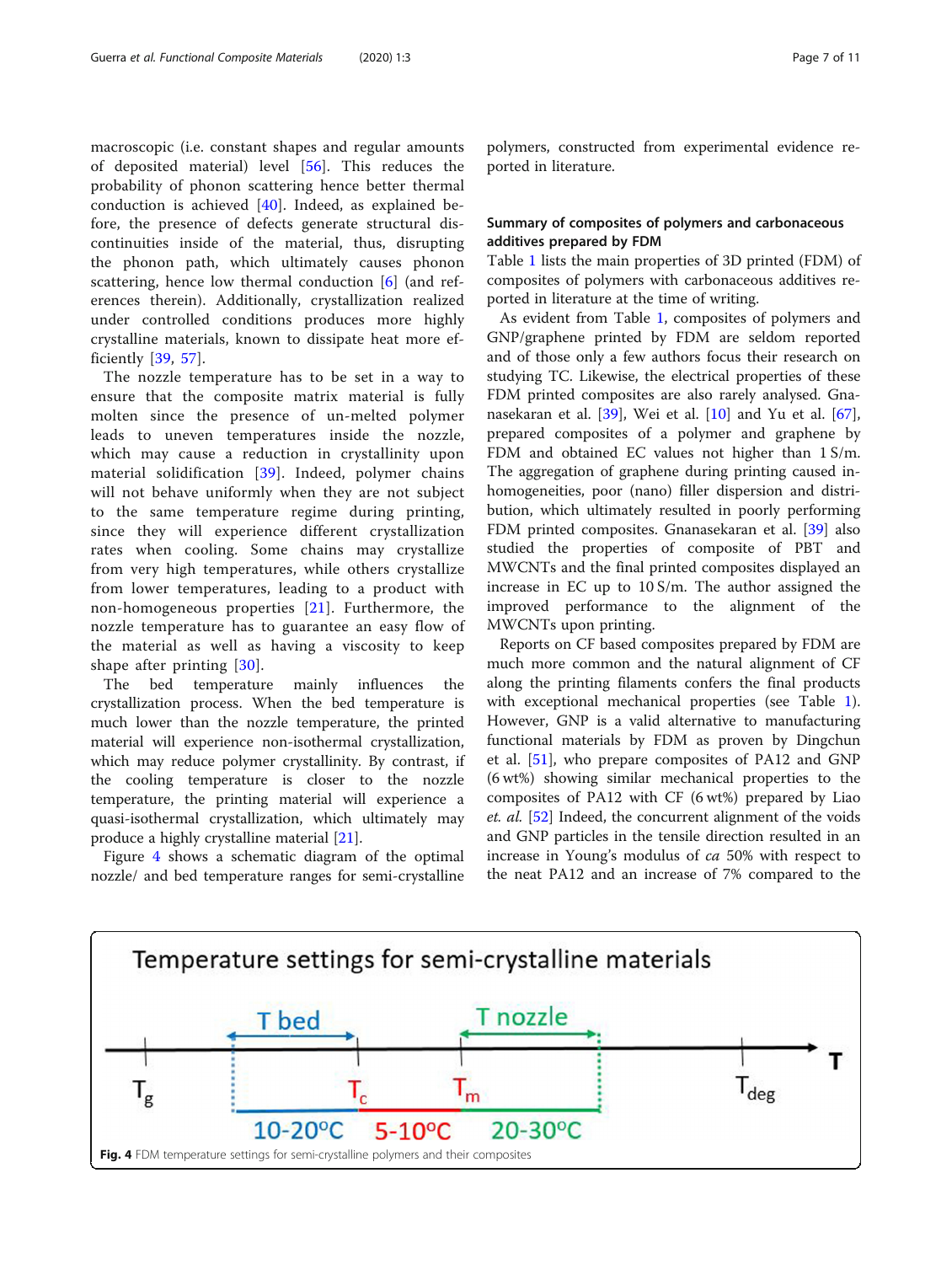macroscopic (i.e. constant shapes and regular amounts of deposited material) level [\[56](#page-10-0)]. This reduces the probability of phonon scattering hence better thermal conduction is achieved [[40\]](#page-10-0). Indeed, as explained before, the presence of defects generate structural discontinuities inside of the material, thus, disrupting the phonon path, which ultimately causes phonon scattering, hence low thermal conduction [[6](#page-10-0)] (and references therein). Additionally, crystallization realized under controlled conditions produces more highly crystalline materials, known to dissipate heat more efficiently [[39,](#page-10-0) [57](#page-10-0)].

The nozzle temperature has to be set in a way to ensure that the composite matrix material is fully molten since the presence of un-melted polymer leads to uneven temperatures inside the nozzle, which may cause a reduction in crystallinity upon material solidification [[39\]](#page-10-0). Indeed, polymer chains will not behave uniformly when they are not subject to the same temperature regime during printing, since they will experience different crystallization rates when cooling. Some chains may crystallize from very high temperatures, while others crystallize from lower temperatures, leading to a product with non-homogeneous properties [[21\]](#page-10-0). Furthermore, the nozzle temperature has to guarantee an easy flow of the material as well as having a viscosity to keep shape after printing [[30\]](#page-10-0).

The bed temperature mainly influences the crystallization process. When the bed temperature is much lower than the nozzle temperature, the printed material will experience non-isothermal crystallization, which may reduce polymer crystallinity. By contrast, if the cooling temperature is closer to the nozzle temperature, the printing material will experience a quasi-isothermal crystallization, which ultimately may produce a highly crystalline material [[21\]](#page-10-0).

Figure 4 shows a schematic diagram of the optimal nozzle/ and bed temperature ranges for semi-crystalline

polymers, constructed from experimental evidence reported in literature.

# Summary of composites of polymers and carbonaceous additives prepared by FDM

Table [1](#page-7-0) lists the main properties of 3D printed (FDM) of composites of polymers with carbonaceous additives reported in literature at the time of writing.

As evident from Table [1,](#page-7-0) composites of polymers and GNP/graphene printed by FDM are seldom reported and of those only a few authors focus their research on studying TC. Likewise, the electrical properties of these FDM printed composites are also rarely analysed. Gnanasekaran et al. [\[39\]](#page-10-0), Wei et al. [[10](#page-10-0)] and Yu et al. [\[67](#page-10-0)], prepared composites of a polymer and graphene by FDM and obtained EC values not higher than  $1 S/m$ . The aggregation of graphene during printing caused inhomogeneities, poor (nano) filler dispersion and distribution, which ultimately resulted in poorly performing FDM printed composites. Gnanasekaran et al. [[39\]](#page-10-0) also studied the properties of composite of PBT and MWCNTs and the final printed composites displayed an increase in EC up to 10 S/m. The author assigned the improved performance to the alignment of the MWCNTs upon printing.

Reports on CF based composites prepared by FDM are much more common and the natural alignment of CF along the printing filaments confers the final products with exceptional mechanical properties (see Table [1](#page-7-0)). However, GNP is a valid alternative to manufacturing functional materials by FDM as proven by Dingchun et al. [\[51](#page-10-0)], who prepare composites of PA12 and GNP (6 wt%) showing similar mechanical properties to the composites of PA12 with CF (6 wt%) prepared by Liao et. al. [[52](#page-10-0)] Indeed, the concurrent alignment of the voids and GNP particles in the tensile direction resulted in an increase in Young's modulus of ca 50% with respect to the neat PA12 and an increase of 7% compared to the

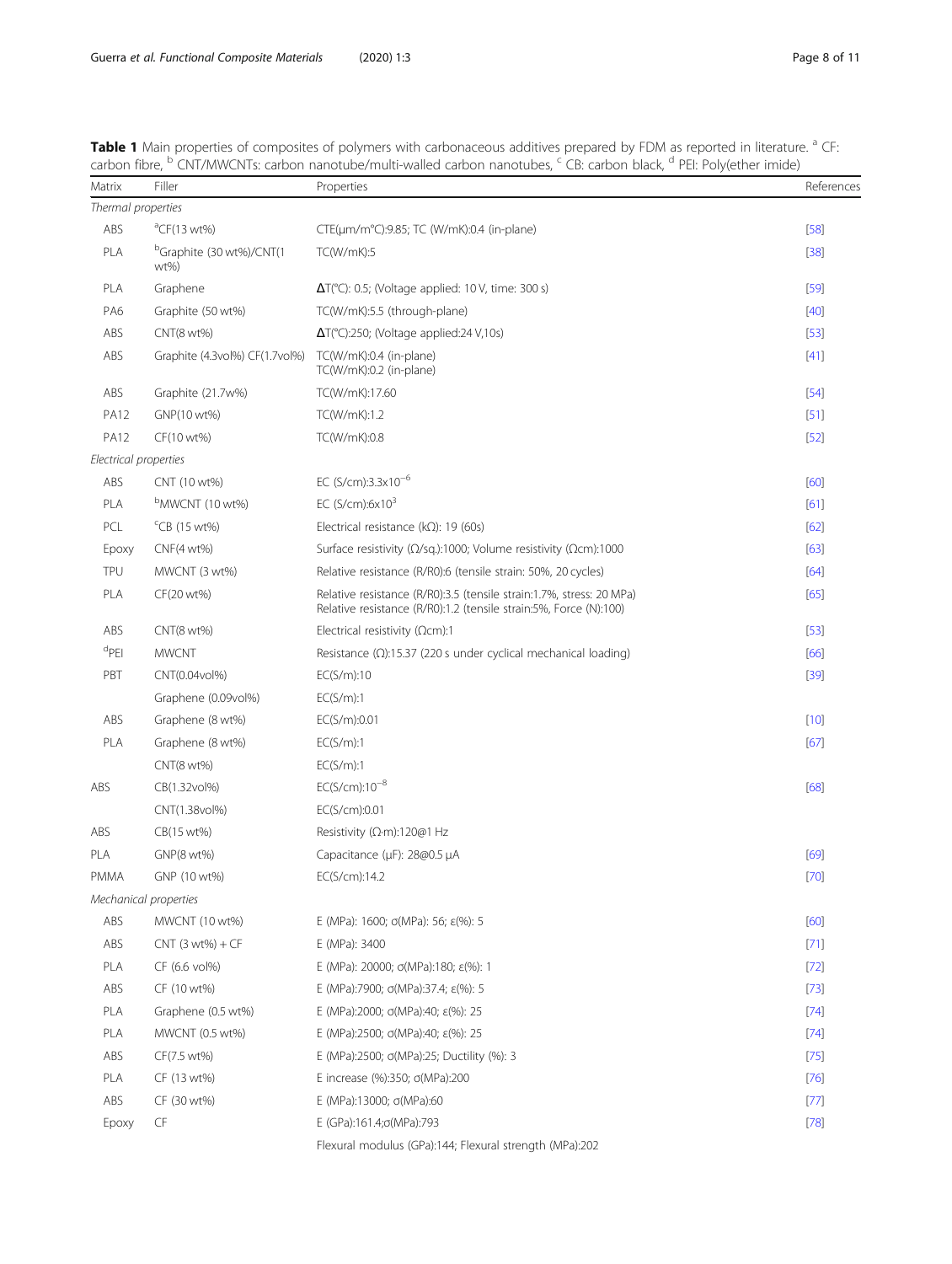| Matrix                | Filler                                         | Properties                                                                                                                                | References |
|-----------------------|------------------------------------------------|-------------------------------------------------------------------------------------------------------------------------------------------|------------|
| Thermal properties    |                                                |                                                                                                                                           |            |
| ABS                   | $^{\circ}$ CF(13 wt%)                          | CTE(µm/m°C):9.85; TC (W/mK):0.4 (in-plane)                                                                                                | $[58]$     |
| PLA                   | <sup>D</sup> Graphite (30 wt%)/CNT(1<br>$wt\%$ | TC(W/mK):5                                                                                                                                | $[38]$     |
| PLA                   | Graphene                                       | $\Delta T$ (°C): 0.5; (Voltage applied: 10 V, time: 300 s)                                                                                | $[59]$     |
| PA6                   | Graphite (50 wt%)                              | TC(W/mK):5.5 (through-plane)                                                                                                              | $[40]$     |
| ABS                   | CNT(8 wt%)                                     | $\Delta T$ (°C):250; (Voltage applied:24 V,10s)                                                                                           | $[53]$     |
| ABS                   | Graphite (4.3vol%) CF(1.7vol%)                 | TC(W/mK):0.4 (in-plane)<br>TC(W/mK):0.2 (in-plane)                                                                                        | $[41]$     |
| ABS                   | Graphite (21.7w%)                              | TC(W/mK):17.60                                                                                                                            | $[54]$     |
| <b>PA12</b>           | GNP(10 wt%)                                    | TC(W/mK):1.2                                                                                                                              | $[51]$     |
| <b>PA12</b>           | CF(10 wt%)                                     | TC(W/mK):0.8                                                                                                                              | $[52]$     |
| Electrical properties |                                                |                                                                                                                                           |            |
| ABS                   | CNT (10 wt%)                                   | EC (S/cm):3.3x10 <sup>-6</sup>                                                                                                            | [60]       |
| PLA                   | bMWCNT (10 wt%)                                | EC $(S/cm): 6x103$                                                                                                                        | [61]       |
| PCL                   | $\text{CB}$ (15 wt%)                           | Electrical resistance ( $k\Omega$ ): 19 (60s)                                                                                             | [62]       |
| Epoxy                 | $CNF(4 wt\%)$                                  | Surface resistivity ( $\Omega$ /sq.):1000; Volume resistivity ( $\Omega$ cm):1000                                                         | [63]       |
| TPU                   | MWCNT (3 wt%)                                  | Relative resistance (R/R0):6 (tensile strain: 50%, 20 cycles)                                                                             | [64]       |
| PLA                   | CF(20 wt%)                                     | Relative resistance (R/R0):3.5 (tensile strain:1.7%, stress: 20 MPa)<br>Relative resistance (R/R0):1.2 (tensile strain:5%, Force (N):100) | [65]       |
| ABS                   | CNT(8 wt%)                                     | Electrical resistivity ( $\Omega$ cm):1                                                                                                   | $[53]$     |
| ${}^d$ PEI            | <b>MWCNT</b>                                   | Resistance $(\Omega)$ :15.37 (220 s under cyclical mechanical loading)                                                                    | [66]       |
| PBT                   | CNT(0.04vol%)                                  | EC(S/m):10                                                                                                                                | $[39]$     |
|                       | Graphene (0.09vol%)                            | EC(S/m):1                                                                                                                                 |            |
| ABS                   | Graphene (8 wt%)                               | EC(S/m):0.01                                                                                                                              | $[10]$     |
| PLA                   | Graphene (8 wt%)                               | EC(S/m):1                                                                                                                                 | [67]       |
|                       | CNT(8 wt%)                                     | EC(S/m):1                                                                                                                                 |            |
| ABS                   | CB(1.32vol%)                                   | $EC(S/cm):10^{-8}$                                                                                                                        | [68]       |
|                       | CNT(1.38vol%)                                  | EC(S/cm):0.01                                                                                                                             |            |
| ABS                   | CB(15 wt%)                                     | Resistivity ( $\Omega$ ·m):120@1 Hz                                                                                                       |            |
| PLA                   | GNP(8 wt%)                                     | Capacitance (µF): 28@0.5 µA                                                                                                               | [69]       |
| PMMA                  | GNP (10 wt%)                                   | EC(S/cm):14.2                                                                                                                             | $[70]$     |
|                       | Mechanical properties                          |                                                                                                                                           |            |
| ABS                   | MWCNT (10 wt%)                                 | E (MPa): 1600; $\sigma(MPa)$ : 56; $\varepsilon(\%)$ : 5                                                                                  | [60]       |
| ABS                   | $CNT(3 wt%) + CF$                              | E (MPa): 3400                                                                                                                             | $[71]$     |
| PLA                   | CF (6.6 vol%)                                  | E (MPa): 20000; $\sigma(MPa)$ :180; $\varepsilon$ (%): 1                                                                                  | $[72]$     |
| ABS                   | CF (10 wt%)                                    | E (MPa):7900; $\sigma(MPa)$ :37.4; $\varepsilon$ (%): 5                                                                                   | $[73]$     |
| PLA                   | Graphene (0.5 wt%)                             | E (MPa):2000; $\sigma(MPa)$ :40; $\varepsilon$ (%): 25                                                                                    | $[74]$     |
| PLA                   | MWCNT (0.5 wt%)                                | E (MPa):2500; $\sigma(MPa)$ :40; $\varepsilon$ (%): 25                                                                                    | $[74]$     |
| ABS                   | CF(7.5 wt%)                                    | E (MPa):2500; σ(MPa):25; Ductility (%): 3                                                                                                 | $[75]$     |
| PLA                   | CF (13 wt%)                                    | E increase (%):350; σ(MPa):200                                                                                                            | $[76]$     |
| ABS                   | CF (30 wt%)                                    | Ε (MPa):13000; σ(MPa):60                                                                                                                  | $[77]$     |
| Epoxy                 | CF                                             | E (GPa):161.4;o(MPa):793                                                                                                                  | $[78]$     |
|                       |                                                | Flexural modulus (GPa):144; Flexural strength (MPa):202                                                                                   |            |

<span id="page-7-0"></span>Table 1 Main properties of composites of polymers with carbonaceous additives prepared by FDM as reported in literature. <sup>a</sup> CF: carbon fibre, <sup>b</sup> CNT/MWCNTs: carbon nanotube/multi-walled carbon nanotubes, <sup>c</sup> CB: carbon black, <sup>d</sup> PEI: Poly(ether imide)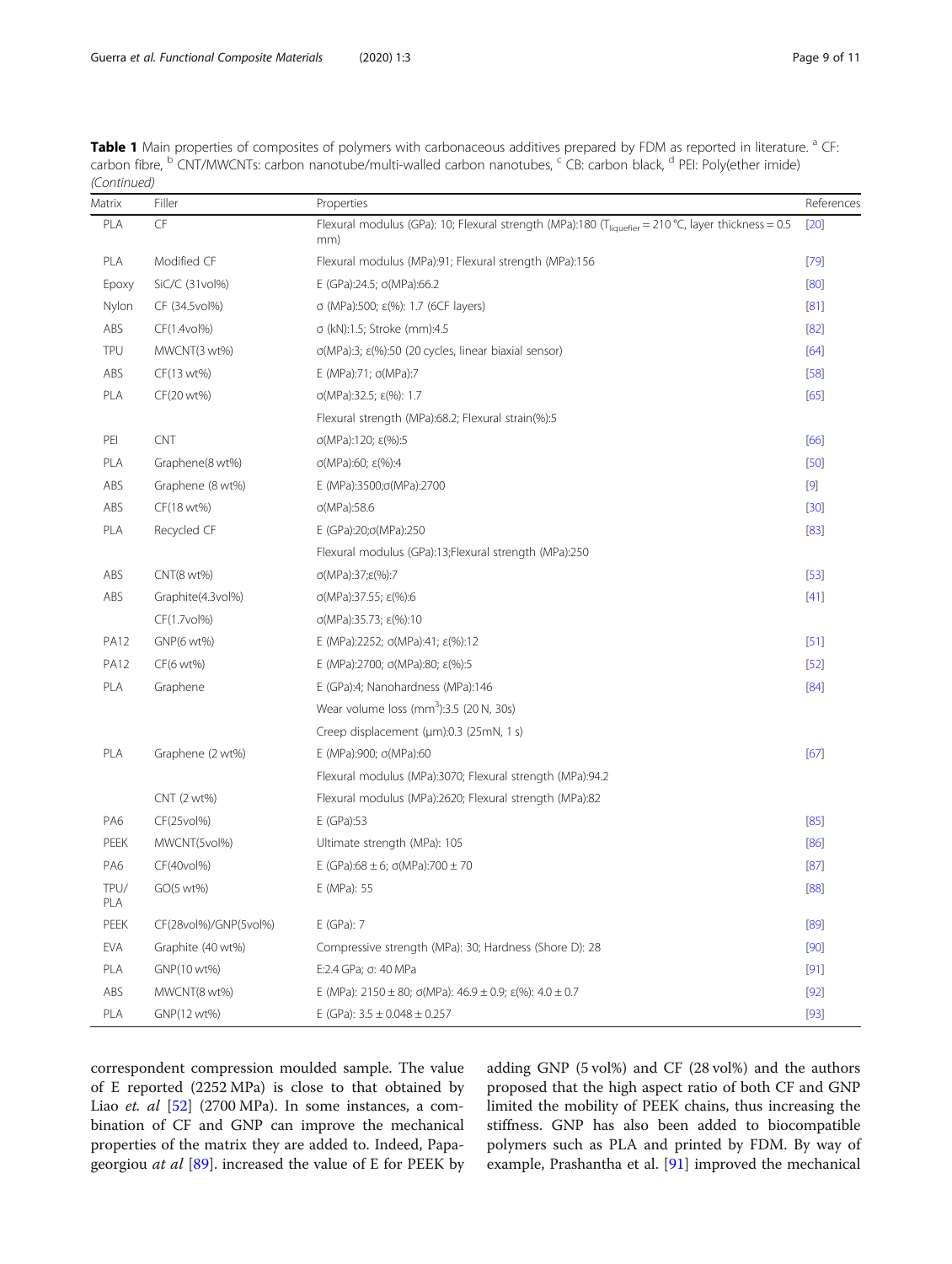Guerra et al. Functional Composite Materials (2020) 1:3 Page 9 of 11

| <b>Table 1</b> Main properties of composites of polymers with carbonaceous additives prepared by FDM as reported in literature. <sup>a</sup> CF:         |  |
|----------------------------------------------------------------------------------------------------------------------------------------------------------|--|
| carbon fibre, <sup>b</sup> CNT/MWCNTs: carbon nanotube/multi-walled carbon nanotubes, <sup>c</sup> CB: carbon black, <sup>d</sup> PEI: Poly(ether imide) |  |
| (Continued)                                                                                                                                              |  |

| Matrix      | Filler                | Properties                                                                                                             | References |
|-------------|-----------------------|------------------------------------------------------------------------------------------------------------------------|------------|
| PLA         | <b>CF</b>             | Flexural modulus (GPa): 10; Flexural strength (MPa):180 (T <sub>liquefier</sub> = 210 °C, layer thickness = 0.5<br>mm) | [20]       |
| PLA         | Modified CF           | Flexural modulus (MPa):91; Flexural strength (MPa):156                                                                 | $[79]$     |
| Epoxy       | SiC/C (31vol%)        | E (GPa):24.5; $\sigma$ (MPa):66.2                                                                                      | [80]       |
| Nylon       | CF (34.5vol%)         | σ (MPa):500; ε(%): 1.7 (6CF layers)                                                                                    | [81]       |
| ABS         | CF(1.4vol%)           | σ (kN):1.5; Stroke (mm):4.5                                                                                            | $[82]$     |
| TPU         | MWCNT(3 wt%)          | σ(MPa):3; ε(%):50 (20 cycles, linear biaxial sensor)                                                                   | $[64]$     |
| ABS         | CF(13 wt%)            | E (MPa):71; $σ(MPa):7$                                                                                                 | $[58]$     |
| PLA         | CF(20 wt%)            | $\sigma(MPa):32.5; \epsilon(\%): 1.7$                                                                                  | [65]       |
|             |                       | Flexural strength (MPa):68.2; Flexural strain(%):5                                                                     |            |
| PEI         | CNT                   | σ(MPa):120; ε(%):5                                                                                                     | [66]       |
| PLA         | Graphene(8 wt%)       | σ(MPa):60; ε(%):4                                                                                                      | $[50]$     |
| ABS         | Graphene (8 wt%)      | E (MPa):3500;σ(MPa):2700                                                                                               | $[9]$      |
| ABS         | CF(18 wt%)            | $\sigma(MPa):58.6$                                                                                                     | $[30]$     |
| PLA         | Recycled CF           | E (GPa):20;o(MPa):250                                                                                                  | $[83]$     |
|             |                       | Flexural modulus (GPa):13;Flexural strength (MPa):250                                                                  |            |
| ABS         | CNT(8 wt%)            | σ(MPa):37;ε(%):7                                                                                                       | $[53]$     |
| ABS         | Graphite(4.3vol%)     | σ(MPa):37.55; ε(%):6                                                                                                   | $[41]$     |
|             | CF(1.7vol%)           | $\sigma(MPa):35.73; \varepsilon(\%):10$                                                                                |            |
| <b>PA12</b> | GNP(6 wt%)            | E (MPa):2252; $\sigma(MPa)$ :41; $\varepsilon$ (%):12                                                                  | $[51]$     |
| <b>PA12</b> | CF(6 wt%)             | E (MPa):2700; σ(MPa):80; ε(%):5                                                                                        | $[52]$     |
| PLA         | Graphene              | E (GPa):4; Nanohardness (MPa):146                                                                                      | $[84]$     |
|             |                       | Wear volume loss $(mm^3):3.5$ (20 N, 30s)                                                                              |            |
|             |                       | Creep displacement (µm):0.3 (25mN, 1 s)                                                                                |            |
| PLA         | Graphene (2 wt%)      | Ε (MPa):900; σ(MPa):60                                                                                                 | $[67]$     |
|             |                       | Flexural modulus (MPa):3070; Flexural strength (MPa):94.2                                                              |            |
|             | CNT (2 wt%)           | Flexural modulus (MPa):2620; Flexural strength (MPa):82                                                                |            |
| PA6         | CF(25vol%)            | E (GPa):53                                                                                                             | $[85]$     |
| PEEK        | MWCNT(5vol%)          | Ultimate strength (MPa): 105                                                                                           | [86]       |
| PA6         | CF(40vol%)            | E (GPa):68 ± 6; $\sigma(MPa)$ :700 ± 70                                                                                | $[87]$     |
| TPU/<br>PLA | GO(5 wt%)             | E (MPa): 55                                                                                                            | [88]       |
| PEEK        | CF(28vol%)/GNP(5vol%) | E (GPa): 7                                                                                                             | [89]       |
| EVA         | Graphite (40 wt%)     | Compressive strength (MPa): 30; Hardness (Shore D): 28                                                                 | $[90]$     |
| PLA         | GNP(10 wt%)           | E:2.4 GPa; σ: 40 MPa                                                                                                   | $[91]$     |
| ABS         | MWCNT(8 wt%)          | E (MPa): $2150 \pm 80$ ; $\sigma(MPa)$ : $46.9 \pm 0.9$ ; $\varepsilon(\%)$ : $4.0 \pm 0.7$                            | $[92]$     |
| PLA         | GNP(12 wt%)           | E (GPa): $3.5 \pm 0.048 \pm 0.257$                                                                                     | $[93]$     |

correspondent compression moulded sample. The value of E reported (2252 MPa) is close to that obtained by Liao et. al [[52](#page-10-0)] (2700 MPa). In some instances, a combination of CF and GNP can improve the mechanical properties of the matrix they are added to. Indeed, Papa-georgiou at al [[89\]](#page-10-0). increased the value of E for PEEK by adding GNP (5 vol%) and CF (28 vol%) and the authors proposed that the high aspect ratio of both CF and GNP limited the mobility of PEEK chains, thus increasing the stiffness. GNP has also been added to biocompatible polymers such as PLA and printed by FDM. By way of example, Prashantha et al. [[91](#page-10-0)] improved the mechanical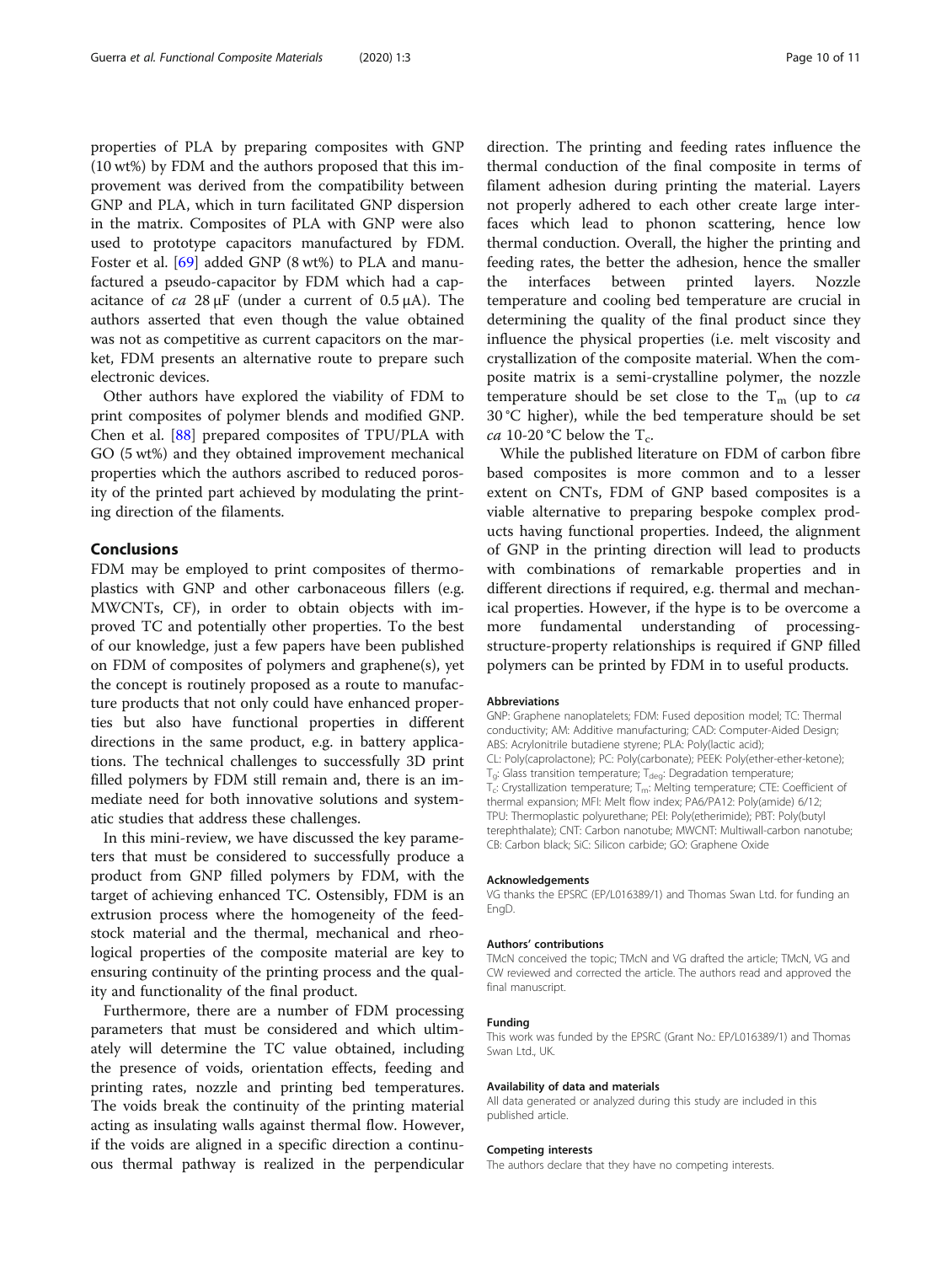properties of PLA by preparing composites with GNP (10 wt%) by FDM and the authors proposed that this improvement was derived from the compatibility between GNP and PLA, which in turn facilitated GNP dispersion in the matrix. Composites of PLA with GNP were also used to prototype capacitors manufactured by FDM. Foster et al. [[69](#page-10-0)] added GNP (8 wt%) to PLA and manufactured a pseudo-capacitor by FDM which had a capacitance of  $ca$  28 μF (under a current of 0.5 μA). The authors asserted that even though the value obtained was not as competitive as current capacitors on the market, FDM presents an alternative route to prepare such electronic devices.

Other authors have explored the viability of FDM to print composites of polymer blends and modified GNP. Chen et al. [[88\]](#page-10-0) prepared composites of TPU/PLA with GO (5 wt%) and they obtained improvement mechanical properties which the authors ascribed to reduced porosity of the printed part achieved by modulating the printing direction of the filaments.

# Conclusions

FDM may be employed to print composites of thermoplastics with GNP and other carbonaceous fillers (e.g. MWCNTs, CF), in order to obtain objects with improved TC and potentially other properties. To the best of our knowledge, just a few papers have been published on FDM of composites of polymers and graphene(s), yet the concept is routinely proposed as a route to manufacture products that not only could have enhanced properties but also have functional properties in different directions in the same product, e.g. in battery applications. The technical challenges to successfully 3D print filled polymers by FDM still remain and, there is an immediate need for both innovative solutions and systematic studies that address these challenges.

In this mini-review, we have discussed the key parameters that must be considered to successfully produce a product from GNP filled polymers by FDM, with the target of achieving enhanced TC. Ostensibly, FDM is an extrusion process where the homogeneity of the feedstock material and the thermal, mechanical and rheological properties of the composite material are key to ensuring continuity of the printing process and the quality and functionality of the final product.

Furthermore, there are a number of FDM processing parameters that must be considered and which ultimately will determine the TC value obtained, including the presence of voids, orientation effects, feeding and printing rates, nozzle and printing bed temperatures. The voids break the continuity of the printing material acting as insulating walls against thermal flow. However, if the voids are aligned in a specific direction a continuous thermal pathway is realized in the perpendicular direction. The printing and feeding rates influence the thermal conduction of the final composite in terms of filament adhesion during printing the material. Layers not properly adhered to each other create large interfaces which lead to phonon scattering, hence low thermal conduction. Overall, the higher the printing and feeding rates, the better the adhesion, hence the smaller the interfaces between printed layers. Nozzle temperature and cooling bed temperature are crucial in determining the quality of the final product since they influence the physical properties (i.e. melt viscosity and crystallization of the composite material. When the composite matrix is a semi-crystalline polymer, the nozzle temperature should be set close to the  $T_m$  (up to *ca* 30 °C higher), while the bed temperature should be set ca 10-20 °C below the  $T_c$ .

While the published literature on FDM of carbon fibre based composites is more common and to a lesser extent on CNTs, FDM of GNP based composites is a viable alternative to preparing bespoke complex products having functional properties. Indeed, the alignment of GNP in the printing direction will lead to products with combinations of remarkable properties and in different directions if required, e.g. thermal and mechanical properties. However, if the hype is to be overcome a more fundamental understanding of processingstructure-property relationships is required if GNP filled polymers can be printed by FDM in to useful products.

#### Abbreviations

GNP: Graphene nanoplatelets; FDM: Fused deposition model; TC: Thermal conductivity; AM: Additive manufacturing; CAD: Computer-Aided Design; ABS: Acrylonitrile butadiene styrene; PLA: Poly(lactic acid); CL: Poly(caprolactone); PC: Poly(carbonate); PEEK: Poly(ether-ether-ketone);  $T_{\text{q}}$ : Glass transition temperature;  $T_{\text{deq}}$ : Degradation temperature;  $T_c$ : Crystallization temperature;  $T_m$ : Melting temperature; CTE: Coefficient of thermal expansion; MFI: Melt flow index; PA6/PA12: Poly(amide) 6/12; TPU: Thermoplastic polyurethane; PEI: Poly(etherimide); PBT: Poly(butyl terephthalate); CNT: Carbon nanotube; MWCNT: Multiwall-carbon nanotube; CB: Carbon black; SiC: Silicon carbide; GO: Graphene Oxide

#### Acknowledgements

VG thanks the EPSRC (EP/L016389/1) and Thomas Swan Ltd. for funding an EngD.

#### Authors' contributions

TMcN conceived the topic; TMcN and VG drafted the article; TMcN, VG and CW reviewed and corrected the article. The authors read and approved the final manuscript.

#### Funding

This work was funded by the EPSRC (Grant No.: EP/L016389/1) and Thomas Swan Ltd., UK.

#### Availability of data and materials

All data generated or analyzed during this study are included in this published article.

## Competing interests

The authors declare that they have no competing interests.